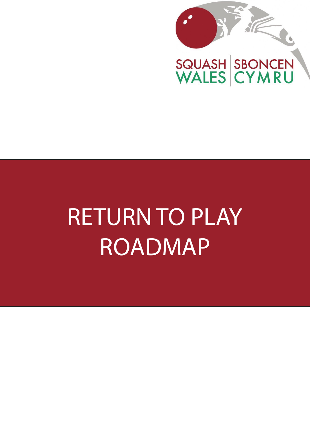

# RETURN TO PLAY ROADMAP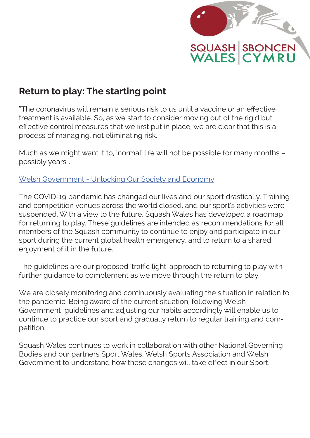

### **Return to play: The starting point**

"The coronavirus will remain a serious risk to us until a vaccine or an effective treatment is available. So, as we start to consider moving out of the rigid but effective control measures that we first put in place, we are clear that this is a process of managing, not eliminating risk.

Much as we might want it to, 'normal' life will not be possible for many months – possibly years".

[Welsh Government - Unlocking Our Society and Economy](https://gov.wales/sites/default/files/publications/2020-05/unlocking-our-society-and-economy-continuing-the-conversation.pdf)

The COVID-19 pandemic has changed our lives and our sport drastically. Training and competition venues across the world closed, and our sport's activities were suspended. With a view to the future, Squash Wales has developed a roadmap for returning to play. These guidelines are intended as recommendations for all members of the Squash community to continue to enjoy and participate in our sport during the current global health emergency, and to return to a shared enjoyment of it in the future.

The guidelines are our proposed 'traffic light' approach to returning to play with further guidance to complement as we move through the return to play.

We are closely monitoring and continuously evaluating the situation in relation to the pandemic. Being aware of the current situation, following Welsh Government guidelines and adjusting our habits accordingly will enable us to continue to practice our sport and gradually return to regular training and competition.

Squash Wales continues to work in collaboration with other National Governing Bodies and our partners Sport Wales, Welsh Sports Association and Welsh Government to understand how these changes will take effect in our Sport.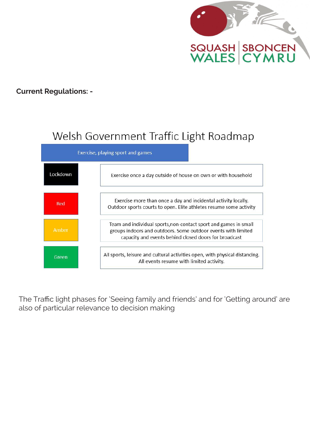

#### **Current Regulations: -**

### Welsh Government Traffic Light Roadmap



The Traffic light phases for 'Seeing family and friends' and for 'Getting around' are also of particular relevance to decision making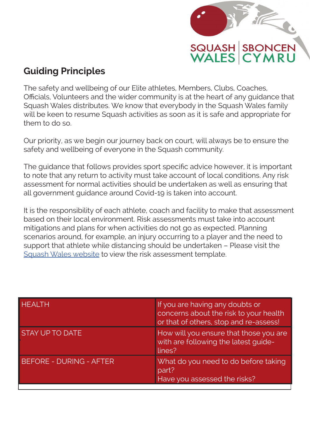

### **Guiding Principles**

The safety and wellbeing of our Elite athletes, Members, Clubs, Coaches, Officials, Volunteers and the wider community is at the heart of any guidance that Squash Wales distributes. We know that everybody in the Squash Wales family will be keen to resume Squash activities as soon as it is safe and appropriate for them to do so.

Our priority, as we begin our journey back on court, will always be to ensure the safety and wellbeing of everyone in the Squash community.

The guidance that follows provides sport specific advice however, it is important to note that any return to activity must take account of local conditions. Any risk assessment for normal activities should be undertaken as well as ensuring that all government guidance around Covid-19 is taken into account.

It is the responsibility of each athlete, coach and facility to make that assessment based on their local environment. Risk assessments must take into account mitigations and plans for when activities do not go as expected. Planning scenarios around, for example, an injury occurring to a player and the need to support that athlete while distancing should be undertaken – Please visit the [Squash Wales website](https://www.squash.wales/return-to-squash-initial-risk-assessment/) to view the risk assessment template.

| HEALTH                         | If you are having any doubts or<br>concerns about the risk to your health<br>or that of others, stop and re-assess! |
|--------------------------------|---------------------------------------------------------------------------------------------------------------------|
| <b>STAY UP TO DATE</b>         | How will you ensure that those you are<br>with are following the latest guide-<br>lines?                            |
| <b>BEFORE - DURING - AFTER</b> | What do you need to do before taking<br>part?<br>Have you assessed the risks?                                       |
|                                |                                                                                                                     |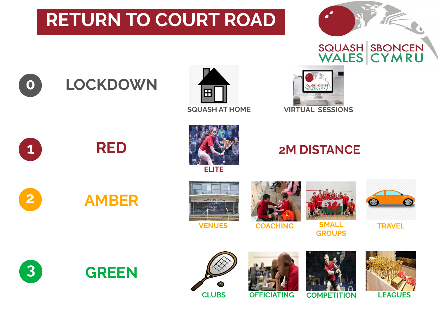# **RETURN TO COURT ROAD**



### **0 LOCKDOWN**





**ELITE**

## **2M DISTANCE**



**VENUES COACHING SMALL** 

 $\bullet$ 

**TRAVEL**

**3**

**1**

**2**



**RED**

**AMBER**







**GROUPS**

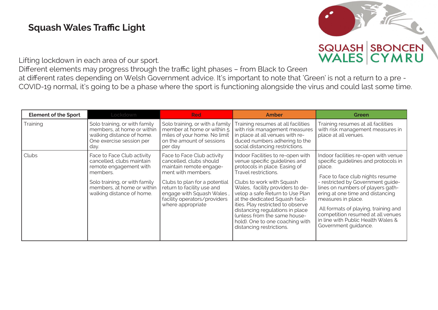### **Squash Wales Traffic Light**



Lifting lockdown in each area of our sport.

Different elements may progress through the traffic light phases – from Black to Green at different rates depending on Welsh Government advice. It's important to note that 'Green' is not a return to a pre - COVID-19 normal, it's going to be a phase where the sport is functioning alongside the virus and could last some time.

| <b>Element of the Sport</b> | Lockdown                                                                                                                                                                                  | <b>Red</b>                                                                                                                                                                                                                                              | <b>Amber</b>                                                                                                                                                                                                                                                                                                                                                                                                                             | Green                                                                                                                                                                                                                                                                                                                                                                                                    |
|-----------------------------|-------------------------------------------------------------------------------------------------------------------------------------------------------------------------------------------|---------------------------------------------------------------------------------------------------------------------------------------------------------------------------------------------------------------------------------------------------------|------------------------------------------------------------------------------------------------------------------------------------------------------------------------------------------------------------------------------------------------------------------------------------------------------------------------------------------------------------------------------------------------------------------------------------------|----------------------------------------------------------------------------------------------------------------------------------------------------------------------------------------------------------------------------------------------------------------------------------------------------------------------------------------------------------------------------------------------------------|
| Training                    | Solo training, or with family<br>members, at home or within<br>walking distance of home.<br>One exercise session per<br>day.                                                              | Solo training, or with a family<br>member at home or within $\frac{1}{5}$<br>miles of your home. No limit<br>on the amount of sessions<br>per day                                                                                                       | Training resumes at all facilities<br>with risk management measures<br>in place at all venues with re-<br>duced numbers adhering to the<br>social distancing restrictions.                                                                                                                                                                                                                                                               | Training resumes at all facilities<br>with risk management measures in<br>place at all venues.                                                                                                                                                                                                                                                                                                           |
| Clubs                       | Face to Face Club activity<br>cancelled, clubs maintain<br>remote engagement with<br>members.<br>Solo training, or with family<br>members, at home or within<br>walking distance of home. | Face to Face Club activity<br>cancelled, clubs should<br>maintain remote engage-<br>ment with members.<br>Clubs to plan for a potential<br>return to facility use and<br>engage with Squash Wales,<br>facility operators/providers<br>where appropriate | Indoor Facilities to re-open with<br>venue specific guidelines and<br>protocols in place. Easing of<br>Travel restrictions.<br>Clubs to work with Squash<br>Wales, facility providers to de-<br>velop a safe Return to Use Plan<br>at the dedicated Squash facil-<br>ities. Play restricted to observe<br>distancing regulations in place<br>(unless from the same house-<br>hold). One to one coaching with<br>distancing restrictions. | Indoor facilities re-open with venue<br>specific quidelines and protocols in<br>place.<br>Face to face club nights resume<br>- restricted by Government guide-<br>lines on numbers of players gath-<br>ering at one time and distancing<br>measures in place.<br>All formats of playing, training and<br>competition resumed at all venues<br>in line with Public Health Wales &<br>Government guidance. |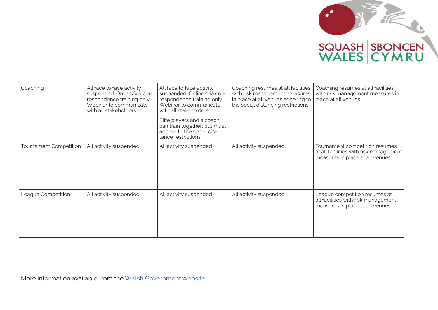

| Coaching               | All face to face activity<br>suspended. Online/via cor-<br>respondence training only<br>Webinar to communicate<br>with all stakeholders. | All face to face activity<br>suspended. Online/via cor-<br>respondence training only.<br>Webinar to communicate<br>with all stakeholders.<br>Elite players and a coach<br>can train together, but must<br>adhere to the social dis-<br>tance restrictions. | Coaching resumes at all facilities<br>with risk management measures<br>in place at all venues adhering to<br>the social distancing restrictions. | Coaching resumes at all facilities<br>with risk management measures in<br>place at all venues.               |
|------------------------|------------------------------------------------------------------------------------------------------------------------------------------|------------------------------------------------------------------------------------------------------------------------------------------------------------------------------------------------------------------------------------------------------------|--------------------------------------------------------------------------------------------------------------------------------------------------|--------------------------------------------------------------------------------------------------------------|
| Tournament Competition | All activity suspended                                                                                                                   | All activity suspended                                                                                                                                                                                                                                     | All activity suspended                                                                                                                           | Tournament competition resumes<br>at all facilities with risk management<br>measures in place at all venues. |
| League Competition     | All activity suspended                                                                                                                   | All activity suspended                                                                                                                                                                                                                                     | All activity suspended                                                                                                                           | League competition resumes at<br>all facilities with risk management<br>measures in place at all venues      |